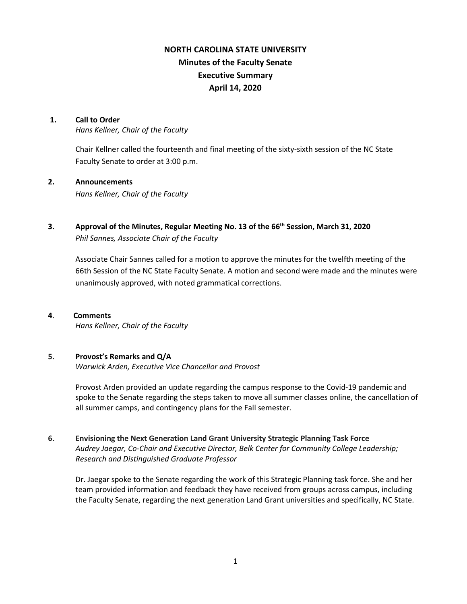# **NORTH CAROLINA STATE UNIVERSITY Minutes of the Faculty Senate Executive Summary April 14, 2020**

### **1. Call to Order**

*Hans Kellner, Chair of the Faculty*

Chair Kellner called the fourteenth and final meeting of the sixty-sixth session of the NC State Faculty Senate to order at 3:00 p.m.

## **2. Announcements**

*Hans Kellner, Chair of the Faculty*

**3. Approval of the Minutes, Regular Meeting No. 13 of the 66th Session, March 31, 2020** *Phil Sannes, Associate Chair of the Faculty*

Associate Chair Sannes called for a motion to approve the minutes for the twelfth meeting of the 66th Session of the NC State Faculty Senate. A motion and second were made and the minutes were unanimously approved, with noted grammatical corrections.

### **4**. **Comments**

*Hans Kellner, Chair of the Faculty*

## **5. Provost's Remarks and Q/A**

*Warwick Arden, Executive Vice Chancellor and Provost*

Provost Arden provided an update regarding the campus response to the Covid-19 pandemic and spoke to the Senate regarding the steps taken to move all summer classes online, the cancellation of all summer camps, and contingency plans for the Fall semester.

**6. Envisioning the Next Generation Land Grant University Strategic Planning Task Force** *Audrey Jaegar, Co-Chair and Executive Director, Belk Center for Community College Leadership; Research and Distinguished Graduate Professor*

Dr. Jaegar spoke to the Senate regarding the work of this Strategic Planning task force. She and her team provided information and feedback they have received from groups across campus, including the Faculty Senate, regarding the next generation Land Grant universities and specifically, NC State.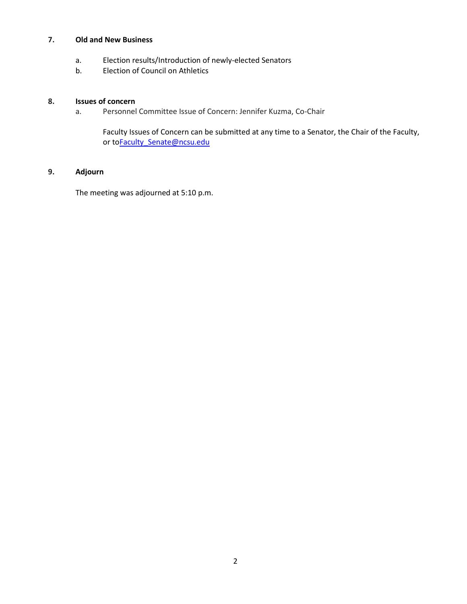# **7. Old and New Business**

- a. Election results/Introduction of newly-elected Senators
- b. Election of Council on Athletics

# **8. Issues of concern**

a. Personnel Committee Issue of Concern: Jennifer Kuzma, Co-Chair

Faculty Issues of Concern can be submitted at any time to a Senator, the Chair of the Faculty, or t[oFaculty\\_Senate@ncsu.edu](mailto:Faculty_Senate@ncsu.edu)

# **9. Adjourn**

The meeting was adjourned at 5:10 p.m.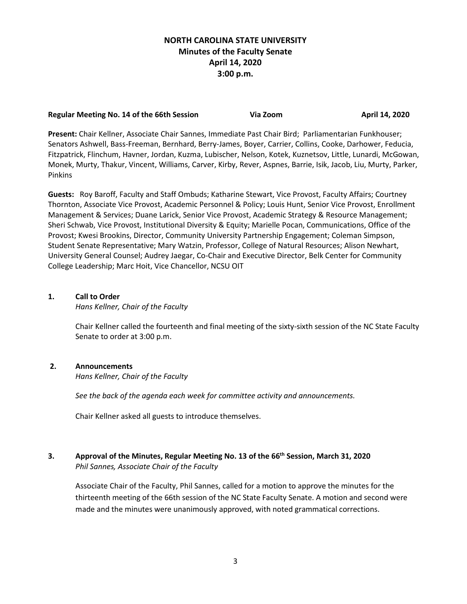# **NORTH CAROLINA STATE UNIVERSITY Minutes of the Faculty Senate April 14, 2020 3:00 p.m.**

#### **Regular Meeting No. 14 of the 66th Session Comey Comey Via Zoom April 14, 2020**

**Present:** Chair Kellner, Associate Chair Sannes, Immediate Past Chair Bird; Parliamentarian Funkhouser; Senators Ashwell, Bass-Freeman, Bernhard, Berry-James, Boyer, Carrier, Collins, Cooke, Darhower, Feducia, Fitzpatrick, Flinchum, Havner, Jordan, Kuzma, Lubischer, Nelson, Kotek, Kuznetsov, Little, Lunardi, McGowan, Monek, Murty, Thakur, Vincent, Williams, Carver, Kirby, Rever, Aspnes, Barrie, Isik, Jacob, Liu, Murty, Parker, Pinkins

**Guests:** Roy Baroff, Faculty and Staff Ombuds; Katharine Stewart, Vice Provost, Faculty Affairs; Courtney Thornton, Associate Vice Provost, Academic Personnel & Policy; Louis Hunt, Senior Vice Provost, Enrollment Management & Services; Duane Larick, Senior Vice Provost, Academic Strategy & Resource Management; Sheri Schwab, Vice Provost, Institutional Diversity & Equity; Marielle Pocan, Communications, Office of the Provost; Kwesi Brookins, Director, Community University Partnership Engagement; Coleman Simpson, Student Senate Representative; Mary Watzin, Professor, College of Natural Resources; Alison Newhart, University General Counsel; Audrey Jaegar, Co-Chair and Executive Director, Belk Center for Community College Leadership; Marc Hoit, Vice Chancellor, NCSU OIT

# **1. Call to Order**

*Hans Kellner, Chair of the Faculty*

Chair Kellner called the fourteenth and final meeting of the sixty-sixth session of the NC State Faculty Senate to order at 3:00 p.m.

## **2. Announcements**

*Hans Kellner, Chair of the Faculty*

*See the back of the agenda each week for committee activity and announcements.*

Chair Kellner asked all guests to introduce themselves.

# **3. Approval of the Minutes, Regular Meeting No. 13 of the 66th Session, March 31, 2020** *Phil Sannes, Associate Chair of the Faculty*

Associate Chair of the Faculty, Phil Sannes, called for a motion to approve the minutes for the thirteenth meeting of the 66th session of the NC State Faculty Senate. A motion and second were made and the minutes were unanimously approved, with noted grammatical corrections.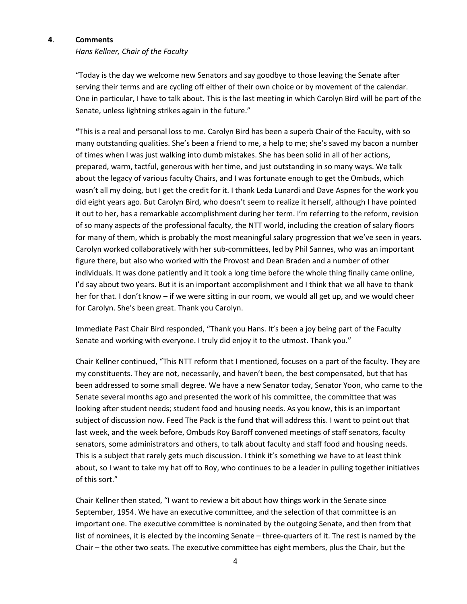# **4**. **Comments**

# *Hans Kellner, Chair of the Faculty*

"Today is the day we welcome new Senators and say goodbye to those leaving the Senate after serving their terms and are cycling off either of their own choice or by movement of the calendar. One in particular, I have to talk about. This is the last meeting in which Carolyn Bird will be part of the Senate, unless lightning strikes again in the future."

**"**This is a real and personal loss to me. Carolyn Bird has been a superb Chair of the Faculty, with so many outstanding qualities. She's been a friend to me, a help to me; she's saved my bacon a number of times when I was just walking into dumb mistakes. She has been solid in all of her actions, prepared, warm, tactful, generous with her time, and just outstanding in so many ways. We talk about the legacy of various faculty Chairs, and I was fortunate enough to get the Ombuds, which wasn't all my doing, but I get the credit for it. I thank Leda Lunardi and Dave Aspnes for the work you did eight years ago. But Carolyn Bird, who doesn't seem to realize it herself, although I have pointed it out to her, has a remarkable accomplishment during her term. I'm referring to the reform, revision of so many aspects of the professional faculty, the NTT world, including the creation of salary floors for many of them, which is probably the most meaningful salary progression that we've seen in years. Carolyn worked collaboratively with her sub-committees, led by Phil Sannes, who was an important figure there, but also who worked with the Provost and Dean Braden and a number of other individuals. It was done patiently and it took a long time before the whole thing finally came online, I'd say about two years. But it is an important accomplishment and I think that we all have to thank her for that. I don't know – if we were sitting in our room, we would all get up, and we would cheer for Carolyn. She's been great. Thank you Carolyn.

Immediate Past Chair Bird responded, "Thank you Hans. It's been a joy being part of the Faculty Senate and working with everyone. I truly did enjoy it to the utmost. Thank you."

Chair Kellner continued, "This NTT reform that I mentioned, focuses on a part of the faculty. They are my constituents. They are not, necessarily, and haven't been, the best compensated, but that has been addressed to some small degree. We have a new Senator today, Senator Yoon, who came to the Senate several months ago and presented the work of his committee, the committee that was looking after student needs; student food and housing needs. As you know, this is an important subject of discussion now. Feed The Pack is the fund that will address this. I want to point out that last week, and the week before, Ombuds Roy Baroff convened meetings of staff senators, faculty senators, some administrators and others, to talk about faculty and staff food and housing needs. This is a subject that rarely gets much discussion. I think it's something we have to at least think about, so I want to take my hat off to Roy, who continues to be a leader in pulling together initiatives of this sort."

Chair Kellner then stated, "I want to review a bit about how things work in the Senate since September, 1954. We have an executive committee, and the selection of that committee is an important one. The executive committee is nominated by the outgoing Senate, and then from that list of nominees, it is elected by the incoming Senate – three-quarters of it. The rest is named by the Chair – the other two seats. The executive committee has eight members, plus the Chair, but the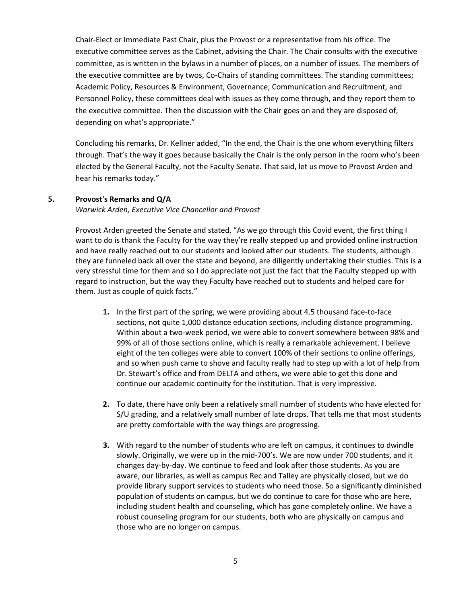Chair-Elect or Immediate Past Chair, plus the Provost or a representative from his office. The executive committee serves as the Cabinet, advising the Chair. The Chair consults with the executive committee, as is written in the bylaws in a number of places, on a number of issues. The members of the executive committee are by twos, Co-Chairs of standing committees. The standing committees; Academic Policy, Resources & Environment, Governance, Communication and Recruitment, and Personnel Policy, these committees deal with issues as they come through, and they report them to the executive committee. Then the discussion with the Chair goes on and they are disposed of, depending on what's appropriate."

Concluding his remarks, Dr. Kellner added, "In the end, the Chair is the one whom everything filters through. That's the way it goes because basically the Chair is the only person in the room who's been elected by the General Faculty, not the Faculty Senate. That said, let us move to Provost Arden and hear his remarks today."

### **5. Provost's Remarks and Q/A**

*Warwick Arden, Executive Vice Chancellor and Provost*

Provost Arden greeted the Senate and stated, "As we go through this Covid event, the first thing I want to do is thank the Faculty for the way they're really stepped up and provided online instruction and have really reached out to our students and looked after our students. The students, although they are funneled back all over the state and beyond, are diligently undertaking their studies. This is a very stressful time for them and so I do appreciate not just the fact that the Faculty stepped up with regard to instruction, but the way they Faculty have reached out to students and helped care for them. Just as couple of quick facts."

- **1.** In the first part of the spring, we were providing about 4.5 thousand face-to-face sections, not quite 1,000 distance education sections, including distance programming. Within about a two-week period, we were able to convert somewhere between 98% and 99% of all of those sections online, which is really a remarkable achievement. I believe eight of the ten colleges were able to convert 100% of their sections to online offerings, and so when push came to shove and faculty really had to step up with a lot of help from Dr. Stewart's office and from DELTA and others, we were able to get this done and continue our academic continuity for the institution. That is very impressive.
- **2.** To date, there have only been a relatively small number of students who have elected for S/U grading, and a relatively small number of late drops. That tells me that most students are pretty comfortable with the way things are progressing.
- **3.** With regard to the number of students who are left on campus, it continues to dwindle slowly. Originally, we were up in the mid-700's. We are now under 700 students, and it changes day-by-day. We continue to feed and look after those students. As you are aware, our libraries, as well as campus Rec and Talley are physically closed, but we do provide library support services to students who need those. So a significantly diminished population of students on campus, but we do continue to care for those who are here, including student health and counseling, which has gone completely online. We have a robust counseling program for our students, both who are physically on campus and those who are no longer on campus.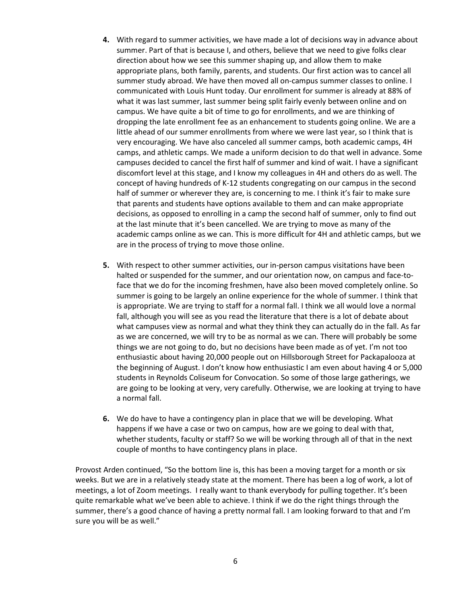- **4.** With regard to summer activities, we have made a lot of decisions way in advance about summer. Part of that is because I, and others, believe that we need to give folks clear direction about how we see this summer shaping up, and allow them to make appropriate plans, both family, parents, and students. Our first action was to cancel all summer study abroad. We have then moved all on-campus summer classes to online. I communicated with Louis Hunt today. Our enrollment for summer is already at 88% of what it was last summer, last summer being split fairly evenly between online and on campus. We have quite a bit of time to go for enrollments, and we are thinking of dropping the late enrollment fee as an enhancement to students going online. We are a little ahead of our summer enrollments from where we were last year, so I think that is very encouraging. We have also canceled all summer camps, both academic camps, 4H camps, and athletic camps. We made a uniform decision to do that well in advance. Some campuses decided to cancel the first half of summer and kind of wait. I have a significant discomfort level at this stage, and I know my colleagues in 4H and others do as well. The concept of having hundreds of K-12 students congregating on our campus in the second half of summer or wherever they are, is concerning to me. I think it's fair to make sure that parents and students have options available to them and can make appropriate decisions, as opposed to enrolling in a camp the second half of summer, only to find out at the last minute that it's been cancelled. We are trying to move as many of the academic camps online as we can. This is more difficult for 4H and athletic camps, but we are in the process of trying to move those online.
- **5.** With respect to other summer activities, our in-person campus visitations have been halted or suspended for the summer, and our orientation now, on campus and face-toface that we do for the incoming freshmen, have also been moved completely online. So summer is going to be largely an online experience for the whole of summer. I think that is appropriate. We are trying to staff for a normal fall. I think we all would love a normal fall, although you will see as you read the literature that there is a lot of debate about what campuses view as normal and what they think they can actually do in the fall. As far as we are concerned, we will try to be as normal as we can. There will probably be some things we are not going to do, but no decisions have been made as of yet. I'm not too enthusiastic about having 20,000 people out on Hillsborough Street for Packapalooza at the beginning of August. I don't know how enthusiastic I am even about having 4 or 5,000 students in Reynolds Coliseum for Convocation. So some of those large gatherings, we are going to be looking at very, very carefully. Otherwise, we are looking at trying to have a normal fall.
- **6.** We do have to have a contingency plan in place that we will be developing. What happens if we have a case or two on campus, how are we going to deal with that, whether students, faculty or staff? So we will be working through all of that in the next couple of months to have contingency plans in place.

Provost Arden continued, "So the bottom line is, this has been a moving target for a month or six weeks. But we are in a relatively steady state at the moment. There has been a log of work, a lot of meetings, a lot of Zoom meetings. I really want to thank everybody for pulling together. It's been quite remarkable what we've been able to achieve. I think if we do the right things through the summer, there's a good chance of having a pretty normal fall. I am looking forward to that and I'm sure you will be as well."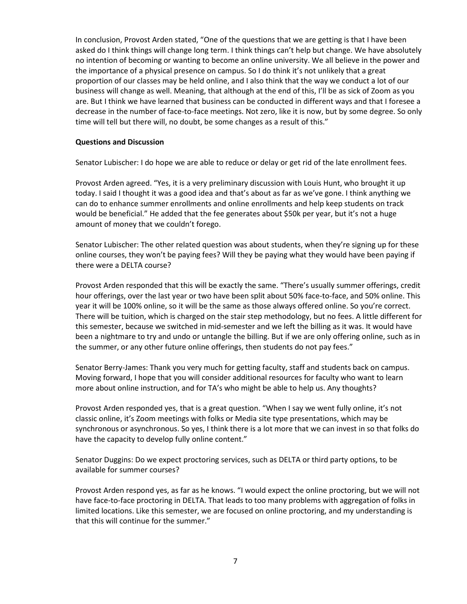In conclusion, Provost Arden stated, "One of the questions that we are getting is that I have been asked do I think things will change long term. I think things can't help but change. We have absolutely no intention of becoming or wanting to become an online university. We all believe in the power and the importance of a physical presence on campus. So I do think it's not unlikely that a great proportion of our classes may be held online, and I also think that the way we conduct a lot of our business will change as well. Meaning, that although at the end of this, I'll be as sick of Zoom as you are. But I think we have learned that business can be conducted in different ways and that I foresee a decrease in the number of face-to-face meetings. Not zero, like it is now, but by some degree. So only time will tell but there will, no doubt, be some changes as a result of this."

### **Questions and Discussion**

Senator Lubischer: I do hope we are able to reduce or delay or get rid of the late enrollment fees.

Provost Arden agreed. "Yes, it is a very preliminary discussion with Louis Hunt, who brought it up today. I said I thought it was a good idea and that's about as far as we've gone. I think anything we can do to enhance summer enrollments and online enrollments and help keep students on track would be beneficial." He added that the fee generates about \$50k per year, but it's not a huge amount of money that we couldn't forego.

Senator Lubischer: The other related question was about students, when they're signing up for these online courses, they won't be paying fees? Will they be paying what they would have been paying if there were a DELTA course?

Provost Arden responded that this will be exactly the same. "There's usually summer offerings, credit hour offerings, over the last year or two have been split about 50% face-to-face, and 50% online. This year it will be 100% online, so it will be the same as those always offered online. So you're correct. There will be tuition, which is charged on the stair step methodology, but no fees. A little different for this semester, because we switched in mid-semester and we left the billing as it was. It would have been a nightmare to try and undo or untangle the billing. But if we are only offering online, such as in the summer, or any other future online offerings, then students do not pay fees."

Senator Berry-James: Thank you very much for getting faculty, staff and students back on campus. Moving forward, I hope that you will consider additional resources for faculty who want to learn more about online instruction, and for TA's who might be able to help us. Any thoughts?

Provost Arden responded yes, that is a great question. "When I say we went fully online, it's not classic online, it's Zoom meetings with folks or Media site type presentations, which may be synchronous or asynchronous. So yes, I think there is a lot more that we can invest in so that folks do have the capacity to develop fully online content."

Senator Duggins: Do we expect proctoring services, such as DELTA or third party options, to be available for summer courses?

Provost Arden respond yes, as far as he knows. "I would expect the online proctoring, but we will not have face-to-face proctoring in DELTA. That leads to too many problems with aggregation of folks in limited locations. Like this semester, we are focused on online proctoring, and my understanding is that this will continue for the summer."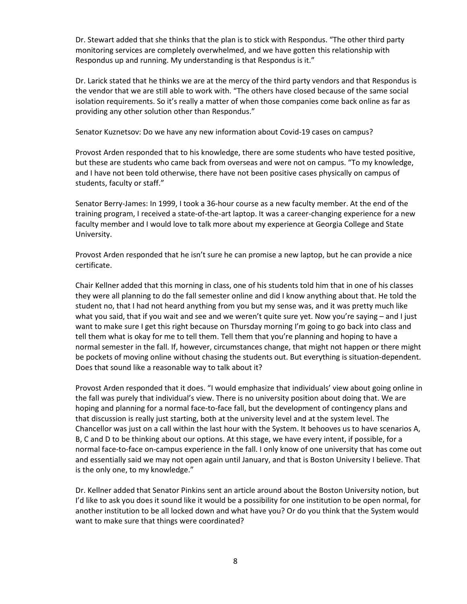Dr. Stewart added that she thinks that the plan is to stick with Respondus. "The other third party monitoring services are completely overwhelmed, and we have gotten this relationship with Respondus up and running. My understanding is that Respondus is it."

Dr. Larick stated that he thinks we are at the mercy of the third party vendors and that Respondus is the vendor that we are still able to work with. "The others have closed because of the same social isolation requirements. So it's really a matter of when those companies come back online as far as providing any other solution other than Respondus."

Senator Kuznetsov: Do we have any new information about Covid-19 cases on campus?

Provost Arden responded that to his knowledge, there are some students who have tested positive, but these are students who came back from overseas and were not on campus. "To my knowledge, and I have not been told otherwise, there have not been positive cases physically on campus of students, faculty or staff."

Senator Berry-James: In 1999, I took a 36-hour course as a new faculty member. At the end of the training program, I received a state-of-the-art laptop. It was a career-changing experience for a new faculty member and I would love to talk more about my experience at Georgia College and State University.

Provost Arden responded that he isn't sure he can promise a new laptop, but he can provide a nice certificate.

Chair Kellner added that this morning in class, one of his students told him that in one of his classes they were all planning to do the fall semester online and did I know anything about that. He told the student no, that I had not heard anything from you but my sense was, and it was pretty much like what you said, that if you wait and see and we weren't quite sure yet. Now you're saying - and I just want to make sure I get this right because on Thursday morning I'm going to go back into class and tell them what is okay for me to tell them. Tell them that you're planning and hoping to have a normal semester in the fall. If, however, circumstances change, that might not happen or there might be pockets of moving online without chasing the students out. But everything is situation-dependent. Does that sound like a reasonable way to talk about it?

Provost Arden responded that it does. "I would emphasize that individuals' view about going online in the fall was purely that individual's view. There is no university position about doing that. We are hoping and planning for a normal face-to-face fall, but the development of contingency plans and that discussion is really just starting, both at the university level and at the system level. The Chancellor was just on a call within the last hour with the System. It behooves us to have scenarios A, B, C and D to be thinking about our options. At this stage, we have every intent, if possible, for a normal face-to-face on-campus experience in the fall. I only know of one university that has come out and essentially said we may not open again until January, and that is Boston University I believe. That is the only one, to my knowledge."

Dr. Kellner added that Senator Pinkins sent an article around about the Boston University notion, but I'd like to ask you does it sound like it would be a possibility for one institution to be open normal, for another institution to be all locked down and what have you? Or do you think that the System would want to make sure that things were coordinated?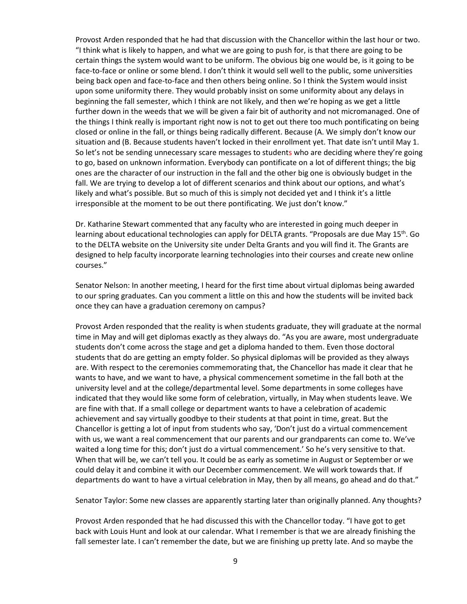Provost Arden responded that he had that discussion with the Chancellor within the last hour or two. "I think what is likely to happen, and what we are going to push for, is that there are going to be certain things the system would want to be uniform. The obvious big one would be, is it going to be face-to-face or online or some blend. I don't think it would sell well to the public, some universities being back open and face-to-face and then others being online. So I think the System would insist upon some uniformity there. They would probably insist on some uniformity about any delays in beginning the fall semester, which I think are not likely, and then we're hoping as we get a little further down in the weeds that we will be given a fair bit of authority and not micromanaged. One of the things I think really is important right now is not to get out there too much pontificating on being closed or online in the fall, or things being radically different. Because (A. We simply don't know our situation and (B. Because students haven't locked in their enrollment yet. That date isn't until May 1. So let's not be sending unnecessary scare messages to students who are deciding where they're going to go, based on unknown information. Everybody can pontificate on a lot of different things; the big ones are the character of our instruction in the fall and the other big one is obviously budget in the fall. We are trying to develop a lot of different scenarios and think about our options, and what's likely and what's possible. But so much of this is simply not decided yet and I think it's a little irresponsible at the moment to be out there pontificating. We just don't know."

Dr. Katharine Stewart commented that any faculty who are interested in going much deeper in learning about educational technologies can apply for DELTA grants. "Proposals are due May  $15<sup>th</sup>$ . Go to the DELTA website on the University site under Delta Grants and you will find it. The Grants are designed to help faculty incorporate learning technologies into their courses and create new online courses."

Senator Nelson: In another meeting, I heard for the first time about virtual diplomas being awarded to our spring graduates. Can you comment a little on this and how the students will be invited back once they can have a graduation ceremony on campus?

Provost Arden responded that the reality is when students graduate, they will graduate at the normal time in May and will get diplomas exactly as they always do. "As you are aware, most undergraduate students don't come across the stage and get a diploma handed to them. Even those doctoral students that do are getting an empty folder. So physical diplomas will be provided as they always are. With respect to the ceremonies commemorating that, the Chancellor has made it clear that he wants to have, and we want to have, a physical commencement sometime in the fall both at the university level and at the college/departmental level. Some departments in some colleges have indicated that they would like some form of celebration, virtually, in May when students leave. We are fine with that. If a small college or department wants to have a celebration of academic achievement and say virtually goodbye to their students at that point in time, great. But the Chancellor is getting a lot of input from students who say, 'Don't just do a virtual commencement with us, we want a real commencement that our parents and our grandparents can come to. We've waited a long time for this; don't just do a virtual commencement.' So he's very sensitive to that. When that will be, we can't tell you. It could be as early as sometime in August or September or we could delay it and combine it with our December commencement. We will work towards that. If departments do want to have a virtual celebration in May, then by all means, go ahead and do that."

Senator Taylor: Some new classes are apparently starting later than originally planned. Any thoughts?

Provost Arden responded that he had discussed this with the Chancellor today. "I have got to get back with Louis Hunt and look at our calendar. What I remember is that we are already finishing the fall semester late. I can't remember the date, but we are finishing up pretty late. And so maybe the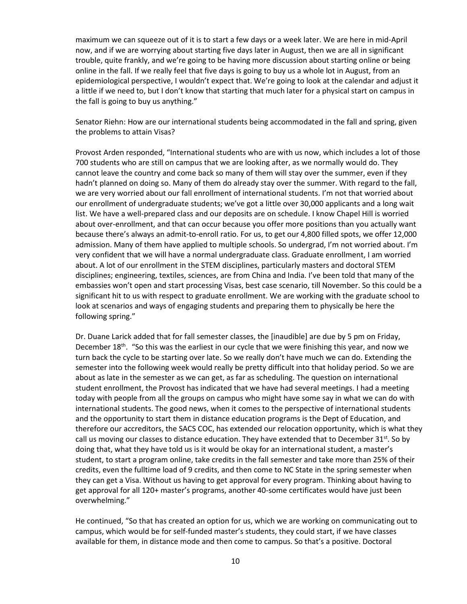maximum we can squeeze out of it is to start a few days or a week later. We are here in mid-April now, and if we are worrying about starting five days later in August, then we are all in significant trouble, quite frankly, and we're going to be having more discussion about starting online or being online in the fall. If we really feel that five days is going to buy us a whole lot in August, from an epidemiological perspective, I wouldn't expect that. We're going to look at the calendar and adjust it a little if we need to, but I don't know that starting that much later for a physical start on campus in the fall is going to buy us anything."

Senator Riehn: How are our international students being accommodated in the fall and spring, given the problems to attain Visas?

Provost Arden responded, "International students who are with us now, which includes a lot of those 700 students who are still on campus that we are looking after, as we normally would do. They cannot leave the country and come back so many of them will stay over the summer, even if they hadn't planned on doing so. Many of them do already stay over the summer. With regard to the fall, we are very worried about our fall enrollment of international students. I'm not that worried about our enrollment of undergraduate students; we've got a little over 30,000 applicants and a long wait list. We have a well-prepared class and our deposits are on schedule. I know Chapel Hill is worried about over-enrollment, and that can occur because you offer more positions than you actually want because there's always an admit-to-enroll ratio. For us, to get our 4,800 filled spots, we offer 12,000 admission. Many of them have applied to multiple schools. So undergrad, I'm not worried about. I'm very confident that we will have a normal undergraduate class. Graduate enrollment, I am worried about. A lot of our enrollment in the STEM disciplines, particularly masters and doctoral STEM disciplines; engineering, textiles, sciences, are from China and India. I've been told that many of the embassies won't open and start processing Visas, best case scenario, till November. So this could be a significant hit to us with respect to graduate enrollment. We are working with the graduate school to look at scenarios and ways of engaging students and preparing them to physically be here the following spring."

Dr. Duane Larick added that for fall semester classes, the [inaudible] are due by 5 pm on Friday, December 18<sup>th</sup>. "So this was the earliest in our cycle that we were finishing this year, and now we turn back the cycle to be starting over late. So we really don't have much we can do. Extending the semester into the following week would really be pretty difficult into that holiday period. So we are about as late in the semester as we can get, as far as scheduling. The question on international student enrollment, the Provost has indicated that we have had several meetings. I had a meeting today with people from all the groups on campus who might have some say in what we can do with international students. The good news, when it comes to the perspective of international students and the opportunity to start them in distance education programs is the Dept of Education, and therefore our accreditors, the SACS COC, has extended our relocation opportunity, which is what they call us moving our classes to distance education. They have extended that to December 31 $st$ . So by doing that, what they have told us is it would be okay for an international student, a master's student, to start a program online, take credits in the fall semester and take more than 25% of their credits, even the fulltime load of 9 credits, and then come to NC State in the spring semester when they can get a Visa. Without us having to get approval for every program. Thinking about having to get approval for all 120+ master's programs, another 40-some certificates would have just been overwhelming."

He continued, "So that has created an option for us, which we are working on communicating out to campus, which would be for self-funded master's students, they could start, if we have classes available for them, in distance mode and then come to campus. So that's a positive. Doctoral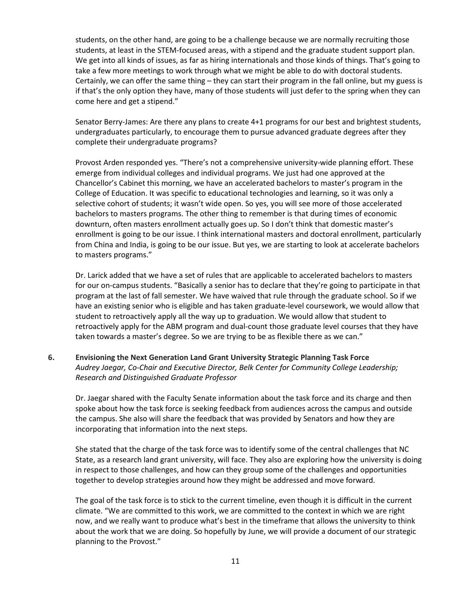students, on the other hand, are going to be a challenge because we are normally recruiting those students, at least in the STEM-focused areas, with a stipend and the graduate student support plan. We get into all kinds of issues, as far as hiring internationals and those kinds of things. That's going to take a few more meetings to work through what we might be able to do with doctoral students. Certainly, we can offer the same thing – they can start their program in the fall online, but my guess is if that's the only option they have, many of those students will just defer to the spring when they can come here and get a stipend."

Senator Berry-James: Are there any plans to create 4+1 programs for our best and brightest students, undergraduates particularly, to encourage them to pursue advanced graduate degrees after they complete their undergraduate programs?

Provost Arden responded yes. "There's not a comprehensive university-wide planning effort. These emerge from individual colleges and individual programs. We just had one approved at the Chancellor's Cabinet this morning, we have an accelerated bachelors to master's program in the College of Education. It was specific to educational technologies and learning, so it was only a selective cohort of students; it wasn't wide open. So yes, you will see more of those accelerated bachelors to masters programs. The other thing to remember is that during times of economic downturn, often masters enrollment actually goes up. So I don't think that domestic master's enrollment is going to be our issue. I think international masters and doctoral enrollment, particularly from China and India, is going to be our issue. But yes, we are starting to look at accelerate bachelors to masters programs."

Dr. Larick added that we have a set of rules that are applicable to accelerated bachelors to masters for our on-campus students. "Basically a senior has to declare that they're going to participate in that program at the last of fall semester. We have waived that rule through the graduate school. So if we have an existing senior who is eligible and has taken graduate-level coursework, we would allow that student to retroactively apply all the way up to graduation. We would allow that student to retroactively apply for the ABM program and dual-count those graduate level courses that they have taken towards a master's degree. So we are trying to be as flexible there as we can."

# **6. Envisioning the Next Generation Land Grant University Strategic Planning Task Force** *Audrey Jaegar, Co-Chair and Executive Director, Belk Center for Community College Leadership; Research and Distinguished Graduate Professor*

Dr. Jaegar shared with the Faculty Senate information about the task force and its charge and then spoke about how the task force is seeking feedback from audiences across the campus and outside the campus. She also will share the feedback that was provided by Senators and how they are incorporating that information into the next steps.

She stated that the charge of the task force was to identify some of the central challenges that NC State, as a research land grant university, will face. They also are exploring how the university is doing in respect to those challenges, and how can they group some of the challenges and opportunities together to develop strategies around how they might be addressed and move forward.

The goal of the task force is to stick to the current timeline, even though it is difficult in the current climate. "We are committed to this work, we are committed to the context in which we are right now, and we really want to produce what's best in the timeframe that allows the university to think about the work that we are doing. So hopefully by June, we will provide a document of our strategic planning to the Provost."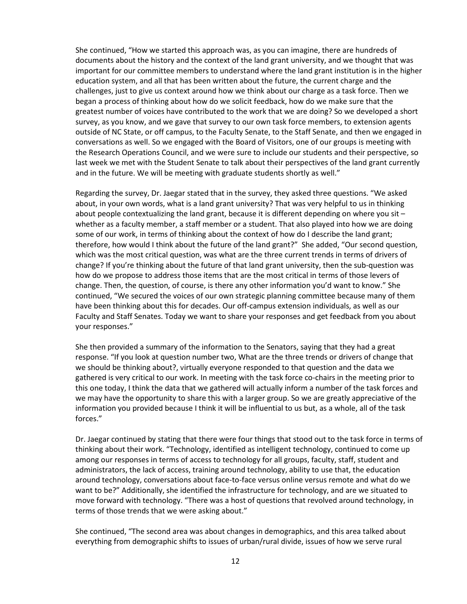She continued, "How we started this approach was, as you can imagine, there are hundreds of documents about the history and the context of the land grant university, and we thought that was important for our committee members to understand where the land grant institution is in the higher education system, and all that has been written about the future, the current charge and the challenges, just to give us context around how we think about our charge as a task force. Then we began a process of thinking about how do we solicit feedback, how do we make sure that the greatest number of voices have contributed to the work that we are doing? So we developed a short survey, as you know, and we gave that survey to our own task force members, to extension agents outside of NC State, or off campus, to the Faculty Senate, to the Staff Senate, and then we engaged in conversations as well. So we engaged with the Board of Visitors, one of our groups is meeting with the Research Operations Council, and we were sure to include our students and their perspective, so last week we met with the Student Senate to talk about their perspectives of the land grant currently and in the future. We will be meeting with graduate students shortly as well."

Regarding the survey, Dr. Jaegar stated that in the survey, they asked three questions. "We asked about, in your own words, what is a land grant university? That was very helpful to us in thinking about people contextualizing the land grant, because it is different depending on where you sit – whether as a faculty member, a staff member or a student. That also played into how we are doing some of our work, in terms of thinking about the context of how do I describe the land grant; therefore, how would I think about the future of the land grant?" She added, "Our second question, which was the most critical question, was what are the three current trends in terms of drivers of change? If you're thinking about the future of that land grant university, then the sub-question was how do we propose to address those items that are the most critical in terms of those levers of change. Then, the question, of course, is there any other information you'd want to know." She continued, "We secured the voices of our own strategic planning committee because many of them have been thinking about this for decades. Our off-campus extension individuals, as well as our Faculty and Staff Senates. Today we want to share your responses and get feedback from you about your responses."

She then provided a summary of the information to the Senators, saying that they had a great response. "If you look at question number two, What are the three trends or drivers of change that we should be thinking about?, virtually everyone responded to that question and the data we gathered is very critical to our work. In meeting with the task force co-chairs in the meeting prior to this one today, I think the data that we gathered will actually inform a number of the task forces and we may have the opportunity to share this with a larger group. So we are greatly appreciative of the information you provided because I think it will be influential to us but, as a whole, all of the task forces."

Dr. Jaegar continued by stating that there were four things that stood out to the task force in terms of thinking about their work. "Technology, identified as intelligent technology, continued to come up among our responses in terms of access to technology for all groups, faculty, staff, student and administrators, the lack of access, training around technology, ability to use that, the education around technology, conversations about face-to-face versus online versus remote and what do we want to be?" Additionally, she identified the infrastructure for technology, and are we situated to move forward with technology. "There was a host of questions that revolved around technology, in terms of those trends that we were asking about."

She continued, "The second area was about changes in demographics, and this area talked about everything from demographic shifts to issues of urban/rural divide, issues of how we serve rural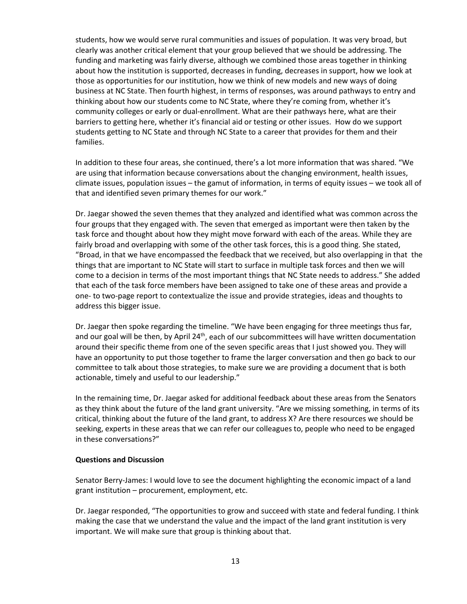students, how we would serve rural communities and issues of population. It was very broad, but clearly was another critical element that your group believed that we should be addressing. The funding and marketing was fairly diverse, although we combined those areas together in thinking about how the institution is supported, decreases in funding, decreases in support, how we look at those as opportunities for our institution, how we think of new models and new ways of doing business at NC State. Then fourth highest, in terms of responses, was around pathways to entry and thinking about how our students come to NC State, where they're coming from, whether it's community colleges or early or dual-enrollment. What are their pathways here, what are their barriers to getting here, whether it's financial aid or testing or other issues. How do we support students getting to NC State and through NC State to a career that provides for them and their families.

In addition to these four areas, she continued, there's a lot more information that was shared. "We are using that information because conversations about the changing environment, health issues, climate issues, population issues – the gamut of information, in terms of equity issues – we took all of that and identified seven primary themes for our work."

Dr. Jaegar showed the seven themes that they analyzed and identified what was common across the four groups that they engaged with. The seven that emerged as important were then taken by the task force and thought about how they might move forward with each of the areas. While they are fairly broad and overlapping with some of the other task forces, this is a good thing. She stated, "Broad, in that we have encompassed the feedback that we received, but also overlapping in that the things that are important to NC State will start to surface in multiple task forces and then we will come to a decision in terms of the most important things that NC State needs to address." She added that each of the task force members have been assigned to take one of these areas and provide a one- to two-page report to contextualize the issue and provide strategies, ideas and thoughts to address this bigger issue.

Dr. Jaegar then spoke regarding the timeline. "We have been engaging for three meetings thus far, and our goal will be then, by April 24<sup>th</sup>, each of our subcommittees will have written documentation around their specific theme from one of the seven specific areas that I just showed you. They will have an opportunity to put those together to frame the larger conversation and then go back to our committee to talk about those strategies, to make sure we are providing a document that is both actionable, timely and useful to our leadership."

In the remaining time, Dr. Jaegar asked for additional feedback about these areas from the Senators as they think about the future of the land grant university. "Are we missing something, in terms of its critical, thinking about the future of the land grant, to address X? Are there resources we should be seeking, experts in these areas that we can refer our colleagues to, people who need to be engaged in these conversations?"

### **Questions and Discussion**

Senator Berry-James: I would love to see the document highlighting the economic impact of a land grant institution – procurement, employment, etc.

Dr. Jaegar responded, "The opportunities to grow and succeed with state and federal funding. I think making the case that we understand the value and the impact of the land grant institution is very important. We will make sure that group is thinking about that.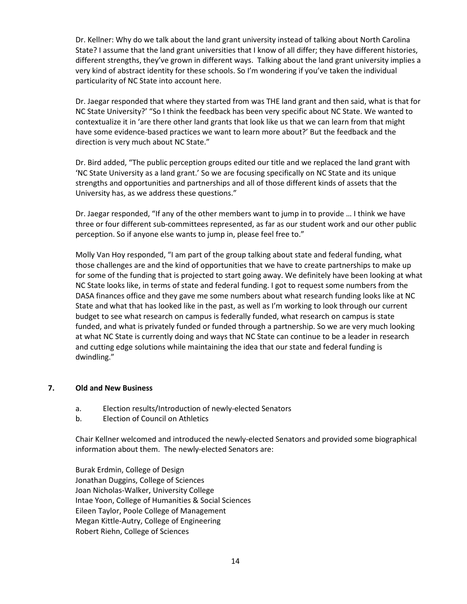Dr. Kellner: Why do we talk about the land grant university instead of talking about North Carolina State? I assume that the land grant universities that I know of all differ; they have different histories, different strengths, they've grown in different ways. Talking about the land grant university implies a very kind of abstract identity for these schools. So I'm wondering if you've taken the individual particularity of NC State into account here.

Dr. Jaegar responded that where they started from was THE land grant and then said, what is that for NC State University?' "So I think the feedback has been very specific about NC State. We wanted to contextualize it in 'are there other land grants that look like us that we can learn from that might have some evidence-based practices we want to learn more about?' But the feedback and the direction is very much about NC State."

Dr. Bird added, "The public perception groups edited our title and we replaced the land grant with 'NC State University as a land grant.' So we are focusing specifically on NC State and its unique strengths and opportunities and partnerships and all of those different kinds of assets that the University has, as we address these questions."

Dr. Jaegar responded, "If any of the other members want to jump in to provide … I think we have three or four different sub-committees represented, as far as our student work and our other public perception. So if anyone else wants to jump in, please feel free to."

Molly Van Hoy responded, "I am part of the group talking about state and federal funding, what those challenges are and the kind of opportunities that we have to create partnerships to make up for some of the funding that is projected to start going away. We definitely have been looking at what NC State looks like, in terms of state and federal funding. I got to request some numbers from the DASA finances office and they gave me some numbers about what research funding looks like at NC State and what that has looked like in the past, as well as I'm working to look through our current budget to see what research on campus is federally funded, what research on campus is state funded, and what is privately funded or funded through a partnership. So we are very much looking at what NC State is currently doing and ways that NC State can continue to be a leader in research and cutting edge solutions while maintaining the idea that our state and federal funding is dwindling."

### **7. Old and New Business**

- a. Election results/Introduction of newly-elected Senators
- b. Election of Council on Athletics

Chair Kellner welcomed and introduced the newly-elected Senators and provided some biographical information about them. The newly-elected Senators are:

Burak Erdmin, College of Design Jonathan Duggins, College of Sciences Joan Nicholas-Walker, University College Intae Yoon, College of Humanities & Social Sciences Eileen Taylor, Poole College of Management Megan Kittle-Autry, College of Engineering Robert Riehn, College of Sciences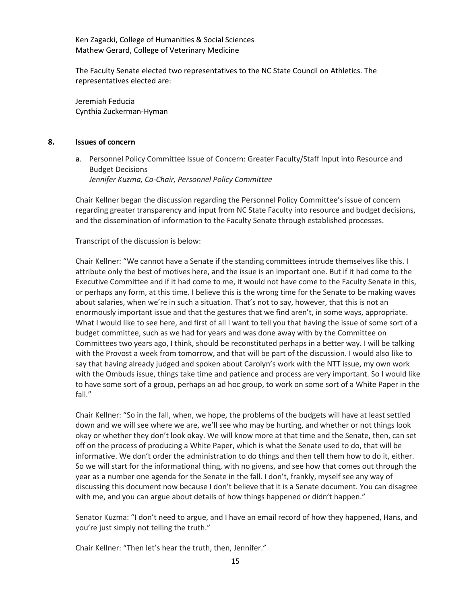Ken Zagacki, College of Humanities & Social Sciences Mathew Gerard, College of Veterinary Medicine

The Faculty Senate elected two representatives to the NC State Council on Athletics. The representatives elected are:

Jeremiah Feducia Cynthia Zuckerman-Hyman

### **8. Issues of concern**

**a**. Personnel Policy Committee Issue of Concern: Greater Faculty/Staff Input into Resource and Budget Decisions *Jennifer Kuzma, Co-Chair, Personnel Policy Committee*

Chair Kellner began the discussion regarding the Personnel Policy Committee's issue of concern regarding greater transparency and input from NC State Faculty into resource and budget decisions, and the dissemination of information to the Faculty Senate through established processes.

Transcript of the discussion is below:

Chair Kellner: "We cannot have a Senate if the standing committees intrude themselves like this. I attribute only the best of motives here, and the issue is an important one. But if it had come to the Executive Committee and if it had come to me, it would not have come to the Faculty Senate in this, or perhaps any form, at this time. I believe this is the wrong time for the Senate to be making waves about salaries, when we're in such a situation. That's not to say, however, that this is not an enormously important issue and that the gestures that we find aren't, in some ways, appropriate. What I would like to see here, and first of all I want to tell you that having the issue of some sort of a budget committee, such as we had for years and was done away with by the Committee on Committees two years ago, I think, should be reconstituted perhaps in a better way. I will be talking with the Provost a week from tomorrow, and that will be part of the discussion. I would also like to say that having already judged and spoken about Carolyn's work with the NTT issue, my own work with the Ombuds issue, things take time and patience and process are very important. So I would like to have some sort of a group, perhaps an ad hoc group, to work on some sort of a White Paper in the fall."

Chair Kellner: "So in the fall, when, we hope, the problems of the budgets will have at least settled down and we will see where we are, we'll see who may be hurting, and whether or not things look okay or whether they don't look okay. We will know more at that time and the Senate, then, can set off on the process of producing a White Paper, which is what the Senate used to do, that will be informative. We don't order the administration to do things and then tell them how to do it, either. So we will start for the informational thing, with no givens, and see how that comes out through the year as a number one agenda for the Senate in the fall. I don't, frankly, myself see any way of discussing this document now because I don't believe that it is a Senate document. You can disagree with me, and you can argue about details of how things happened or didn't happen."

Senator Kuzma: "I don't need to argue, and I have an email record of how they happened, Hans, and you're just simply not telling the truth."

Chair Kellner: "Then let's hear the truth, then, Jennifer."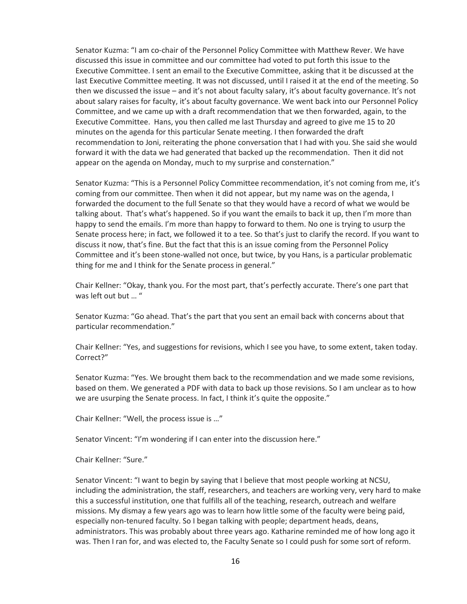Senator Kuzma: "I am co-chair of the Personnel Policy Committee with Matthew Rever. We have discussed this issue in committee and our committee had voted to put forth this issue to the Executive Committee. I sent an email to the Executive Committee, asking that it be discussed at the last Executive Committee meeting. It was not discussed, until I raised it at the end of the meeting. So then we discussed the issue – and it's not about faculty salary, it's about faculty governance. It's not about salary raises for faculty, it's about faculty governance. We went back into our Personnel Policy Committee, and we came up with a draft recommendation that we then forwarded, again, to the Executive Committee. Hans, you then called me last Thursday and agreed to give me 15 to 20 minutes on the agenda for this particular Senate meeting. I then forwarded the draft recommendation to Joni, reiterating the phone conversation that I had with you. She said she would forward it with the data we had generated that backed up the recommendation. Then it did not appear on the agenda on Monday, much to my surprise and consternation."

Senator Kuzma: "This is a Personnel Policy Committee recommendation, it's not coming from me, it's coming from our committee. Then when it did not appear, but my name was on the agenda, I forwarded the document to the full Senate so that they would have a record of what we would be talking about. That's what's happened. So if you want the emails to back it up, then I'm more than happy to send the emails. I'm more than happy to forward to them. No one is trying to usurp the Senate process here; in fact, we followed it to a tee. So that's just to clarify the record. If you want to discuss it now, that's fine. But the fact that this is an issue coming from the Personnel Policy Committee and it's been stone-walled not once, but twice, by you Hans, is a particular problematic thing for me and I think for the Senate process in general."

Chair Kellner: "Okay, thank you. For the most part, that's perfectly accurate. There's one part that was left out but ... "

Senator Kuzma: "Go ahead. That's the part that you sent an email back with concerns about that particular recommendation."

Chair Kellner: "Yes, and suggestions for revisions, which I see you have, to some extent, taken today. Correct?"

Senator Kuzma: "Yes. We brought them back to the recommendation and we made some revisions, based on them. We generated a PDF with data to back up those revisions. So I am unclear as to how we are usurping the Senate process. In fact, I think it's quite the opposite."

Chair Kellner: "Well, the process issue is …"

Senator Vincent: "I'm wondering if I can enter into the discussion here."

Chair Kellner: "Sure."

Senator Vincent: "I want to begin by saying that I believe that most people working at NCSU, including the administration, the staff, researchers, and teachers are working very, very hard to make this a successful institution, one that fulfills all of the teaching, research, outreach and welfare missions. My dismay a few years ago was to learn how little some of the faculty were being paid, especially non-tenured faculty. So I began talking with people; department heads, deans, administrators. This was probably about three years ago. Katharine reminded me of how long ago it was. Then I ran for, and was elected to, the Faculty Senate so I could push for some sort of reform.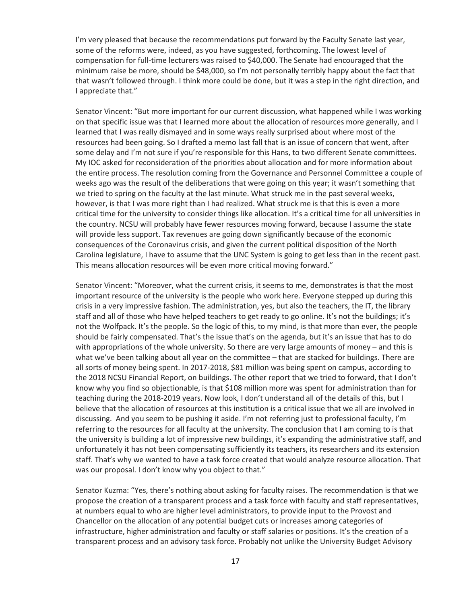I'm very pleased that because the recommendations put forward by the Faculty Senate last year, some of the reforms were, indeed, as you have suggested, forthcoming. The lowest level of compensation for full-time lecturers was raised to \$40,000. The Senate had encouraged that the minimum raise be more, should be \$48,000, so I'm not personally terribly happy about the fact that that wasn't followed through. I think more could be done, but it was a step in the right direction, and I appreciate that."

Senator Vincent: "But more important for our current discussion, what happened while I was working on that specific issue was that I learned more about the allocation of resources more generally, and I learned that I was really dismayed and in some ways really surprised about where most of the resources had been going. So I drafted a memo last fall that is an issue of concern that went, after some delay and I'm not sure if you're responsible for this Hans, to two different Senate committees. My IOC asked for reconsideration of the priorities about allocation and for more information about the entire process. The resolution coming from the Governance and Personnel Committee a couple of weeks ago was the result of the deliberations that were going on this year; it wasn't something that we tried to spring on the faculty at the last minute. What struck me in the past several weeks, however, is that I was more right than I had realized. What struck me is that this is even a more critical time for the university to consider things like allocation. It's a critical time for all universities in the country. NCSU will probably have fewer resources moving forward, because I assume the state will provide less support. Tax revenues are going down significantly because of the economic consequences of the Coronavirus crisis, and given the current political disposition of the North Carolina legislature, I have to assume that the UNC System is going to get less than in the recent past. This means allocation resources will be even more critical moving forward."

Senator Vincent: "Moreover, what the current crisis, it seems to me, demonstrates is that the most important resource of the university is the people who work here. Everyone stepped up during this crisis in a very impressive fashion. The administration, yes, but also the teachers, the IT, the library staff and all of those who have helped teachers to get ready to go online. It's not the buildings; it's not the Wolfpack. It's the people. So the logic of this, to my mind, is that more than ever, the people should be fairly compensated. That's the issue that's on the agenda, but it's an issue that has to do with appropriations of the whole university. So there are very large amounts of money – and this is what we've been talking about all year on the committee – that are stacked for buildings. There are all sorts of money being spent. In 2017-2018, \$81 million was being spent on campus, according to the 2018 NCSU Financial Report, on buildings. The other report that we tried to forward, that I don't know why you find so objectionable, is that \$108 million more was spent for administration than for teaching during the 2018-2019 years. Now look, I don't understand all of the details of this, but I believe that the allocation of resources at this institution is a critical issue that we all are involved in discussing. And you seem to be pushing it aside. I'm not referring just to professional faculty, I'm referring to the resources for all faculty at the university. The conclusion that I am coming to is that the university is building a lot of impressive new buildings, it's expanding the administrative staff, and unfortunately it has not been compensating sufficiently its teachers, its researchers and its extension staff. That's why we wanted to have a task force created that would analyze resource allocation. That was our proposal. I don't know why you object to that."

Senator Kuzma: "Yes, there's nothing about asking for faculty raises. The recommendation is that we propose the creation of a transparent process and a task force with faculty and staff representatives, at numbers equal to who are higher level administrators, to provide input to the Provost and Chancellor on the allocation of any potential budget cuts or increases among categories of infrastructure, higher administration and faculty or staff salaries or positions. It's the creation of a transparent process and an advisory task force. Probably not unlike the University Budget Advisory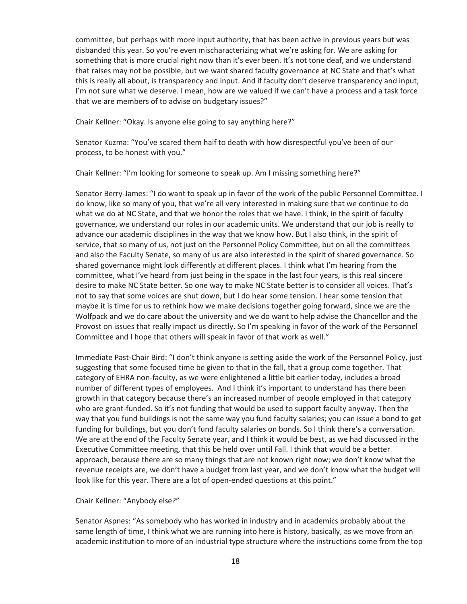committee, but perhaps with more input authority, that has been active in previous years but was disbanded this year. So you're even mischaracterizing what we're asking for. We are asking for something that is more crucial right now than it's ever been. It's not tone deaf, and we understand that raises may not be possible, but we want shared faculty governance at NC State and that's what this is really all about, is transparency and input. And if faculty don't deserve transparency and input, I'm not sure what we deserve. I mean, how are we valued if we can't have a process and a task force that we are members of to advise on budgetary issues?"

Chair Kellner: "Okay. Is anyone else going to say anything here?"

Senator Kuzma: "You've scared them half to death with how disrespectful you've been of our process, to be honest with you."

Chair Kellner: "I'm looking for someone to speak up. Am I missing something here?"

Senator Berry-James: "I do want to speak up in favor of the work of the public Personnel Committee. I do know, like so many of you, that we're all very interested in making sure that we continue to do what we do at NC State, and that we honor the roles that we have. I think, in the spirit of faculty governance, we understand our roles in our academic units. We understand that our job is really to advance our academic disciplines in the way that we know how. But I also think, in the spirit of service, that so many of us, not just on the Personnel Policy Committee, but on all the committees and also the Faculty Senate, so many of us are also interested in the spirit of shared governance. So shared governance might look differently at different places. I think what I'm hearing from the committee, what I've heard from just being in the space in the last four years, is this real sincere desire to make NC State better. So one way to make NC State better is to consider all voices. That's not to say that some voices are shut down, but I do hear some tension. I hear some tension that maybe it is time for us to rethink how we make decisions together going forward, since we are the Wolfpack and we do care about the university and we do want to help advise the Chancellor and the Provost on issues that really impact us directly. So I'm speaking in favor of the work of the Personnel Committee and I hope that others will speak in favor of that work as well."

Immediate Past-Chair Bird: "I don't think anyone is setting aside the work of the Personnel Policy, just suggesting that some focused time be given to that in the fall, that a group come together. That category of EHRA non-faculty, as we were enlightened a little bit earlier today, includes a broad number of different types of employees. And I think it's important to understand has there been growth in that category because there's an increased number of people employed in that category who are grant-funded. So it's not funding that would be used to support faculty anyway. Then the way that you fund buildings is not the same way you fund faculty salaries; you can issue a bond to get funding for buildings, but you don't fund faculty salaries on bonds. So I think there's a conversation. We are at the end of the Faculty Senate year, and I think it would be best, as we had discussed in the Executive Committee meeting, that this be held over until Fall. I think that would be a better approach, because there are so many things that are not known right now; we don't know what the revenue receipts are, we don't have a budget from last year, and we don't know what the budget will look like for this year. There are a lot of open-ended questions at this point."

Chair Kellner: "Anybody else?"

Senator Aspnes: "As somebody who has worked in industry and in academics probably about the same length of time, I think what we are running into here is history, basically, as we move from an academic institution to more of an industrial type structure where the instructions come from the top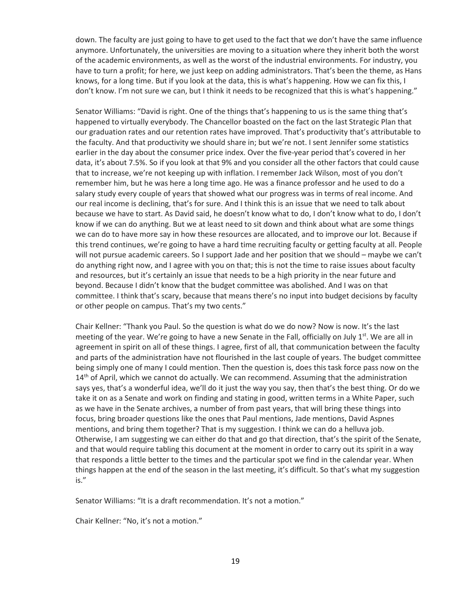down. The faculty are just going to have to get used to the fact that we don't have the same influence anymore. Unfortunately, the universities are moving to a situation where they inherit both the worst of the academic environments, as well as the worst of the industrial environments. For industry, you have to turn a profit; for here, we just keep on adding administrators. That's been the theme, as Hans knows, for a long time. But if you look at the data, this is what's happening. How we can fix this, I don't know. I'm not sure we can, but I think it needs to be recognized that this is what's happening."

Senator Williams: "David is right. One of the things that's happening to us is the same thing that's happened to virtually everybody. The Chancellor boasted on the fact on the last Strategic Plan that our graduation rates and our retention rates have improved. That's productivity that's attributable to the faculty. And that productivity we should share in; but we're not. I sent Jennifer some statistics earlier in the day about the consumer price index. Over the five-year period that's covered in her data, it's about 7.5%. So if you look at that 9% and you consider all the other factors that could cause that to increase, we're not keeping up with inflation. I remember Jack Wilson, most of you don't remember him, but he was here a long time ago. He was a finance professor and he used to do a salary study every couple of years that showed what our progress was in terms of real income. And our real income is declining, that's for sure. And I think this is an issue that we need to talk about because we have to start. As David said, he doesn't know what to do, I don't know what to do, I don't know if we can do anything. But we at least need to sit down and think about what are some things we can do to have more say in how these resources are allocated, and to improve our lot. Because if this trend continues, we're going to have a hard time recruiting faculty or getting faculty at all. People will not pursue academic careers. So I support Jade and her position that we should – maybe we can't do anything right now, and I agree with you on that; this is not the time to raise issues about faculty and resources, but it's certainly an issue that needs to be a high priority in the near future and beyond. Because I didn't know that the budget committee was abolished. And I was on that committee. I think that's scary, because that means there's no input into budget decisions by faculty or other people on campus. That's my two cents."

Chair Kellner: "Thank you Paul. So the question is what do we do now? Now is now. It's the last meeting of the year. We're going to have a new Senate in the Fall, officially on July  $1<sup>st</sup>$ . We are all in agreement in spirit on all of these things. I agree, first of all, that communication between the faculty and parts of the administration have not flourished in the last couple of years. The budget committee being simply one of many I could mention. Then the question is, does this task force pass now on the  $14<sup>th</sup>$  of April, which we cannot do actually. We can recommend. Assuming that the administration says yes, that's a wonderful idea, we'll do it just the way you say, then that's the best thing. Or do we take it on as a Senate and work on finding and stating in good, written terms in a White Paper, such as we have in the Senate archives, a number of from past years, that will bring these things into focus, bring broader questions like the ones that Paul mentions, Jade mentions, David Aspnes mentions, and bring them together? That is my suggestion. I think we can do a helluva job. Otherwise, I am suggesting we can either do that and go that direction, that's the spirit of the Senate, and that would require tabling this document at the moment in order to carry out its spirit in a way that responds a little better to the times and the particular spot we find in the calendar year. When things happen at the end of the season in the last meeting, it's difficult. So that's what my suggestion is."

Senator Williams: "It is a draft recommendation. It's not a motion."

Chair Kellner: "No, it's not a motion."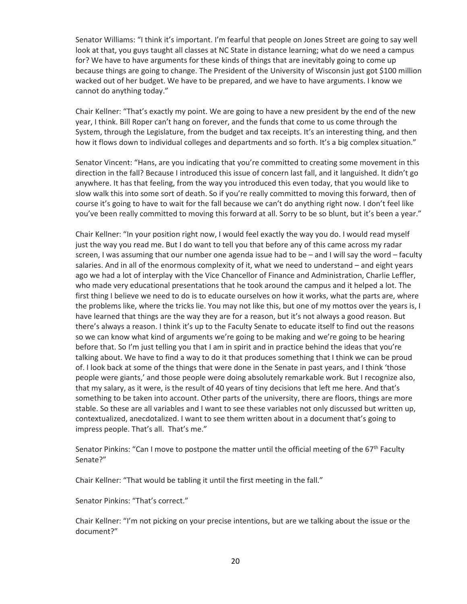Senator Williams: "I think it's important. I'm fearful that people on Jones Street are going to say well look at that, you guys taught all classes at NC State in distance learning; what do we need a campus for? We have to have arguments for these kinds of things that are inevitably going to come up because things are going to change. The President of the University of Wisconsin just got \$100 million wacked out of her budget. We have to be prepared, and we have to have arguments. I know we cannot do anything today."

Chair Kellner: "That's exactly my point. We are going to have a new president by the end of the new year, I think. Bill Roper can't hang on forever, and the funds that come to us come through the System, through the Legislature, from the budget and tax receipts. It's an interesting thing, and then how it flows down to individual colleges and departments and so forth. It's a big complex situation."

Senator Vincent: "Hans, are you indicating that you're committed to creating some movement in this direction in the fall? Because I introduced this issue of concern last fall, and it languished. It didn't go anywhere. It has that feeling, from the way you introduced this even today, that you would like to slow walk this into some sort of death. So if you're really committed to moving this forward, then of course it's going to have to wait for the fall because we can't do anything right now. I don't feel like you've been really committed to moving this forward at all. Sorry to be so blunt, but it's been a year."

Chair Kellner: "In your position right now, I would feel exactly the way you do. I would read myself just the way you read me. But I do want to tell you that before any of this came across my radar screen, I was assuming that our number one agenda issue had to be – and I will say the word – faculty salaries. And in all of the enormous complexity of it, what we need to understand – and eight years ago we had a lot of interplay with the Vice Chancellor of Finance and Administration, Charlie Leffler, who made very educational presentations that he took around the campus and it helped a lot. The first thing I believe we need to do is to educate ourselves on how it works, what the parts are, where the problems like, where the tricks lie. You may not like this, but one of my mottos over the years is, I have learned that things are the way they are for a reason, but it's not always a good reason. But there's always a reason. I think it's up to the Faculty Senate to educate itself to find out the reasons so we can know what kind of arguments we're going to be making and we're going to be hearing before that. So I'm just telling you that I am in spirit and in practice behind the ideas that you're talking about. We have to find a way to do it that produces something that I think we can be proud of. I look back at some of the things that were done in the Senate in past years, and I think 'those people were giants,' and those people were doing absolutely remarkable work. But I recognize also, that my salary, as it were, is the result of 40 years of tiny decisions that left me here. And that's something to be taken into account. Other parts of the university, there are floors, things are more stable. So these are all variables and I want to see these variables not only discussed but written up, contextualized, anecdotalized. I want to see them written about in a document that's going to impress people. That's all. That's me."

Senator Pinkins: "Can I move to postpone the matter until the official meeting of the 67<sup>th</sup> Faculty Senate?"

Chair Kellner: "That would be tabling it until the first meeting in the fall."

Senator Pinkins: "That's correct."

Chair Kellner: "I'm not picking on your precise intentions, but are we talking about the issue or the document?"